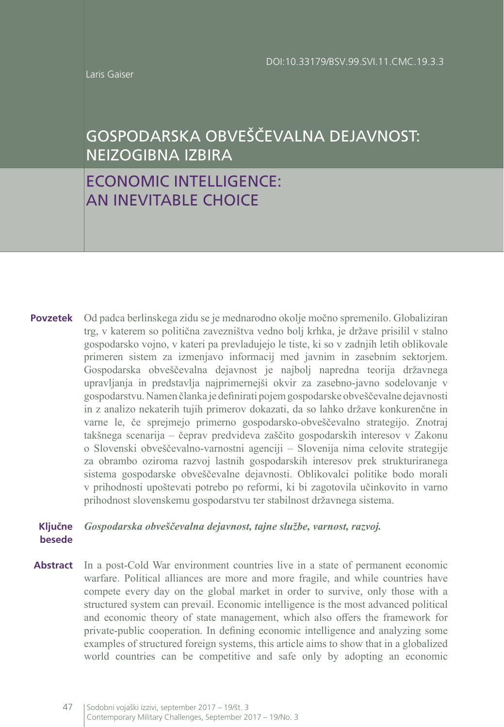Laris Gaiser

# GOSPODARSKA OBVEŠČEVALNA DEJAVNOST: NEIZOGIBNA IZBIRA

## ECONOMIC INTELLIGENCE: AN INEVITABLE CHOICE

Od padca berlinskega zidu se je mednarodno okolje močno spremenilo. Globaliziran trg, v katerem so politična zavezništva vedno bolj krhka, je države prisilil v stalno gospodarsko vojno, v kateri pa prevladujejo le tiste, ki so v zadnjih letih oblikovale primeren sistem za izmenjavo informacij med javnim in zasebnim sektorjem. Gospodarska obveščevalna dejavnost je najbolj napredna teorija državnega upravljanja in predstavlja najprimernejši okvir za zasebno-javno sodelovanje v gospodarstvu. Namen članka je definirati pojem gospodarske obveščevalne dejavnosti in z analizo nekaterih tujih primerov dokazati, da so lahko države konkurenčne in varne le, če sprejmejo primerno gospodarsko-obveščevalno strategijo. Znotraj takšnega scenarija – čeprav predvideva zaščito gospodarskih interesov v Zakonu o Slovenski obveščevalno-varnostni agenciji – Slovenija nima celovite strategije za obrambo oziroma razvoj lastnih gospodarskih interesov prek strukturiranega sistema gospodarske obveščevalne dejavnosti. Oblikovalci politike bodo morali v prihodnosti upoštevati potrebo po reformi, ki bi zagotovila učinkovito in varno prihodnost slovenskemu gospodarstvu ter stabilnost državnega sistema. **Povzetek**

#### *Gospodarska obveščevalna dejavnost, tajne službe, varnost, razvoj.*  **Ključne besede**

In a post-Cold War environment countries live in a state of permanent economic warfare. Political alliances are more and more fragile, and while countries have compete every day on the global market in order to survive, only those with a structured system can prevail. Economic intelligence is the most advanced political and economic theory of state management, which also offers the framework for private-public cooperation. In defining economic intelligence and analyzing some examples of structured foreign systems, this article aims to show that in a globalized world countries can be competitive and safe only by adopting an economic **Abstract**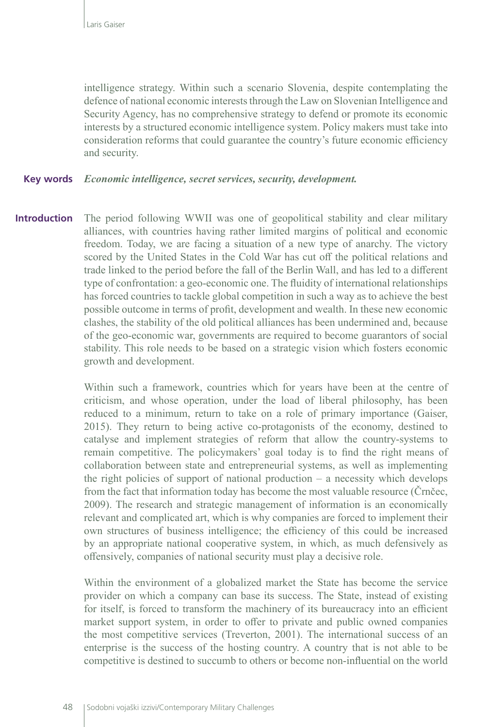intelligence strategy. Within such a scenario Slovenia, despite contemplating the defence of national economic interests through the Law on Slovenian Intelligence and Security Agency, has no comprehensive strategy to defend or promote its economic interests by a structured economic intelligence system. Policy makers must take into consideration reforms that could guarantee the country's future economic efficiency and security.

#### **Key words** *Economic intelligence, secret services, security, development.*

**Introduction** The period following WWII was one of geopolitical stability and clear military alliances, with countries having rather limited margins of political and economic freedom. Today, we are facing a situation of a new type of anarchy. The victory scored by the United States in the Cold War has cut off the political relations and trade linked to the period before the fall of the Berlin Wall, and has led to a different type of confrontation: a geo-economic one. The fluidity of international relationships has forced countries to tackle global competition in such a way as to achieve the best possible outcome in terms of profit, development and wealth. In these new economic clashes, the stability of the old political alliances has been undermined and, because of the geo-economic war, governments are required to become guarantors of social stability. This role needs to be based on a strategic vision which fosters economic growth and development.

> Within such a framework, countries which for years have been at the centre of criticism, and whose operation, under the load of liberal philosophy, has been reduced to a minimum, return to take on a role of primary importance (Gaiser, 2015). They return to being active co-protagonists of the economy, destined to catalyse and implement strategies of reform that allow the country-systems to remain competitive. The policymakers' goal today is to find the right means of collaboration between state and entrepreneurial systems, as well as implementing the right policies of support of national production – a necessity which develops from the fact that information today has become the most valuable resource (Črnčec, 2009). The research and strategic management of information is an economically relevant and complicated art, which is why companies are forced to implement their own structures of business intelligence; the efficiency of this could be increased by an appropriate national cooperative system, in which, as much defensively as offensively, companies of national security must play a decisive role.

> Within the environment of a globalized market the State has become the service provider on which a company can base its success. The State, instead of existing for itself, is forced to transform the machinery of its bureaucracy into an efficient market support system, in order to offer to private and public owned companies the most competitive services (Treverton, 2001). The international success of an enterprise is the success of the hosting country. A country that is not able to be competitive is destined to succumb to others or become non-influential on the world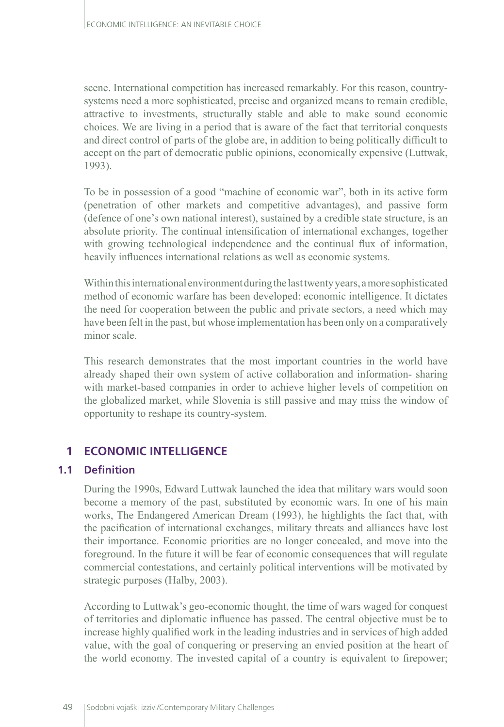scene. International competition has increased remarkably. For this reason, countrysystems need a more sophisticated, precise and organized means to remain credible, attractive to investments, structurally stable and able to make sound economic choices. We are living in a period that is aware of the fact that territorial conquests and direct control of parts of the globe are, in addition to being politically difficult to accept on the part of democratic public opinions, economically expensive (Luttwak, 1993).

To be in possession of a good "machine of economic war", both in its active form (penetration of other markets and competitive advantages), and passive form (defence of one's own national interest), sustained by a credible state structure, is an absolute priority. The continual intensification of international exchanges, together with growing technological independence and the continual flux of information, heavily influences international relations as well as economic systems.

Within this international environment during the last twenty years, a more sophisticated method of economic warfare has been developed: economic intelligence. It dictates the need for cooperation between the public and private sectors, a need which may have been felt in the past, but whose implementation has been only on a comparatively minor scale.

This research demonstrates that the most important countries in the world have already shaped their own system of active collaboration and information- sharing with market-based companies in order to achieve higher levels of competition on the globalized market, while Slovenia is still passive and may miss the window of opportunity to reshape its country-system.

## **1 ECONOMIC INTELLIGENCE**

#### **1.1 Definition**

During the 1990s, Edward Luttwak launched the idea that military wars would soon become a memory of the past, substituted by economic wars. In one of his main works, The Endangered American Dream (1993), he highlights the fact that, with the pacification of international exchanges, military threats and alliances have lost their importance. Economic priorities are no longer concealed, and move into the foreground. In the future it will be fear of economic consequences that will regulate commercial contestations, and certainly political interventions will be motivated by strategic purposes (Halby, 2003).

According to Luttwak's geo-economic thought, the time of wars waged for conquest of territories and diplomatic influence has passed. The central objective must be to increase highly qualified work in the leading industries and in services of high added value, with the goal of conquering or preserving an envied position at the heart of the world economy. The invested capital of a country is equivalent to firepower;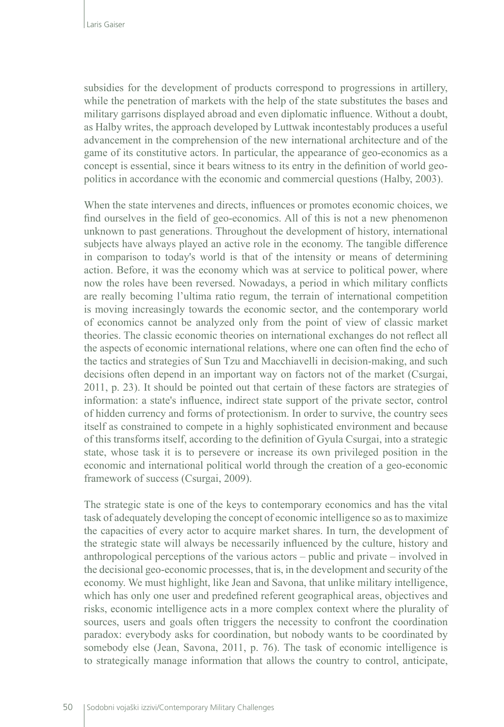subsidies for the development of products correspond to progressions in artillery, while the penetration of markets with the help of the state substitutes the bases and military garrisons displayed abroad and even diplomatic influence. Without a doubt, as Halby writes, the approach developed by Luttwak incontestably produces a useful advancement in the comprehension of the new international architecture and of the game of its constitutive actors. In particular, the appearance of geo-economics as a concept is essential, since it bears witness to its entry in the definition of world geopolitics in accordance with the economic and commercial questions (Halby, 2003).

When the state intervenes and directs, influences or promotes economic choices, we find ourselves in the field of geo-economics. All of this is not a new phenomenon unknown to past generations. Throughout the development of history, international subjects have always played an active role in the economy. The tangible difference in comparison to today's world is that of the intensity or means of determining action. Before, it was the economy which was at service to political power, where now the roles have been reversed. Nowadays, a period in which military conflicts are really becoming l'ultima ratio regum, the terrain of international competition is moving increasingly towards the economic sector, and the contemporary world of economics cannot be analyzed only from the point of view of classic market theories. The classic economic theories on international exchanges do not reflect all the aspects of economic international relations, where one can often find the echo of the tactics and strategies of Sun Tzu and Macchiavelli in decision-making, and such decisions often depend in an important way on factors not of the market (Csurgai, 2011, p. 23). It should be pointed out that certain of these factors are strategies of information: a state's influence, indirect state support of the private sector, control of hidden currency and forms of protectionism. In order to survive, the country sees itself as constrained to compete in a highly sophisticated environment and because of this transforms itself, according to the definition of Gyula Csurgai, into a strategic state, whose task it is to persevere or increase its own privileged position in the economic and international political world through the creation of a geo-economic framework of success (Csurgai, 2009).

The strategic state is one of the keys to contemporary economics and has the vital task of adequately developing the concept of economic intelligence so as to maximize the capacities of every actor to acquire market shares. In turn, the development of the strategic state will always be necessarily influenced by the culture, history and anthropological perceptions of the various actors – public and private – involved in the decisional geo-economic processes, that is, in the development and security of the economy. We must highlight, like Jean and Savona, that unlike military intelligence, which has only one user and predefined referent geographical areas, objectives and risks, economic intelligence acts in a more complex context where the plurality of sources, users and goals often triggers the necessity to confront the coordination paradox: everybody asks for coordination, but nobody wants to be coordinated by somebody else (Jean, Savona, 2011, p. 76). The task of economic intelligence is to strategically manage information that allows the country to control, anticipate,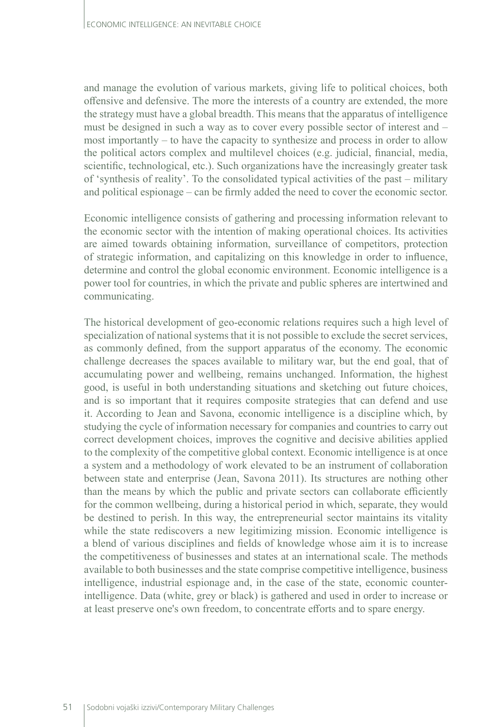and manage the evolution of various markets, giving life to political choices, both offensive and defensive. The more the interests of a country are extended, the more the strategy must have a global breadth. This means that the apparatus of intelligence must be designed in such a way as to cover every possible sector of interest and – most importantly – to have the capacity to synthesize and process in order to allow the political actors complex and multilevel choices (e.g. judicial, financial, media, scientific, technological, etc.). Such organizations have the increasingly greater task of 'synthesis of reality'. To the consolidated typical activities of the past – military and political espionage – can be firmly added the need to cover the economic sector.

Economic intelligence consists of gathering and processing information relevant to the economic sector with the intention of making operational choices. Its activities are aimed towards obtaining information, surveillance of competitors, protection of strategic information, and capitalizing on this knowledge in order to influence, determine and control the global economic environment. Economic intelligence is a power tool for countries, in which the private and public spheres are intertwined and communicating.

The historical development of geo-economic relations requires such a high level of specialization of national systems that it is not possible to exclude the secret services, as commonly defined, from the support apparatus of the economy. The economic challenge decreases the spaces available to military war, but the end goal, that of accumulating power and wellbeing, remains unchanged. Information, the highest good, is useful in both understanding situations and sketching out future choices, and is so important that it requires composite strategies that can defend and use it. According to Jean and Savona, economic intelligence is a discipline which, by studying the cycle of information necessary for companies and countries to carry out correct development choices, improves the cognitive and decisive abilities applied to the complexity of the competitive global context. Economic intelligence is at once a system and a methodology of work elevated to be an instrument of collaboration between state and enterprise (Jean, Savona 2011). Its structures are nothing other than the means by which the public and private sectors can collaborate efficiently for the common wellbeing, during a historical period in which, separate, they would be destined to perish. In this way, the entrepreneurial sector maintains its vitality while the state rediscovers a new legitimizing mission. Economic intelligence is a blend of various disciplines and fields of knowledge whose aim it is to increase the competitiveness of businesses and states at an international scale. The methods available to both businesses and the state comprise competitive intelligence, business intelligence, industrial espionage and, in the case of the state, economic counterintelligence. Data (white, grey or black) is gathered and used in order to increase or at least preserve one's own freedom, to concentrate efforts and to spare energy.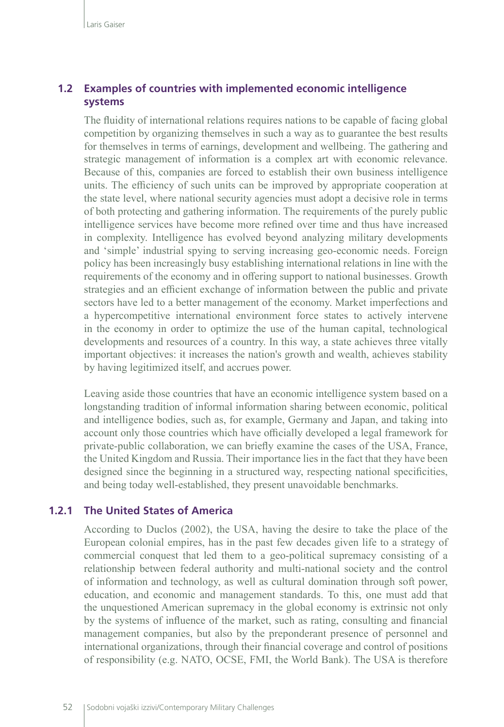#### **1.2 Examples of countries with implemented economic intelligence systems**

The fluidity of international relations requires nations to be capable of facing global competition by organizing themselves in such a way as to guarantee the best results for themselves in terms of earnings, development and wellbeing. The gathering and strategic management of information is a complex art with economic relevance. Because of this, companies are forced to establish their own business intelligence units. The efficiency of such units can be improved by appropriate cooperation at the state level, where national security agencies must adopt a decisive role in terms of both protecting and gathering information. The requirements of the purely public intelligence services have become more refined over time and thus have increased in complexity. Intelligence has evolved beyond analyzing military developments and 'simple' industrial spying to serving increasing geo-economic needs. Foreign policy has been increasingly busy establishing international relations in line with the requirements of the economy and in offering support to national businesses. Growth strategies and an efficient exchange of information between the public and private sectors have led to a better management of the economy. Market imperfections and a hypercompetitive international environment force states to actively intervene in the economy in order to optimize the use of the human capital, technological developments and resources of a country. In this way, a state achieves three vitally important objectives: it increases the nation's growth and wealth, achieves stability by having legitimized itself, and accrues power.

Leaving aside those countries that have an economic intelligence system based on a longstanding tradition of informal information sharing between economic, political and intelligence bodies, such as, for example, Germany and Japan, and taking into account only those countries which have officially developed a legal framework for private-public collaboration, we can briefly examine the cases of the USA, France, the United Kingdom and Russia. Their importance lies in the fact that they have been designed since the beginning in a structured way, respecting national specificities, and being today well-established, they present unavoidable benchmarks.

#### **1.2.1 The United States of America**

According to Duclos (2002), the USA, having the desire to take the place of the European colonial empires, has in the past few decades given life to a strategy of commercial conquest that led them to a geo-political supremacy consisting of a relationship between federal authority and multi-national society and the control of information and technology, as well as cultural domination through soft power, education, and economic and management standards. To this, one must add that the unquestioned American supremacy in the global economy is extrinsic not only by the systems of influence of the market, such as rating, consulting and financial management companies, but also by the preponderant presence of personnel and international organizations, through their financial coverage and control of positions of responsibility (e.g. NATO, OCSE, FMI, the World Bank). The USA is therefore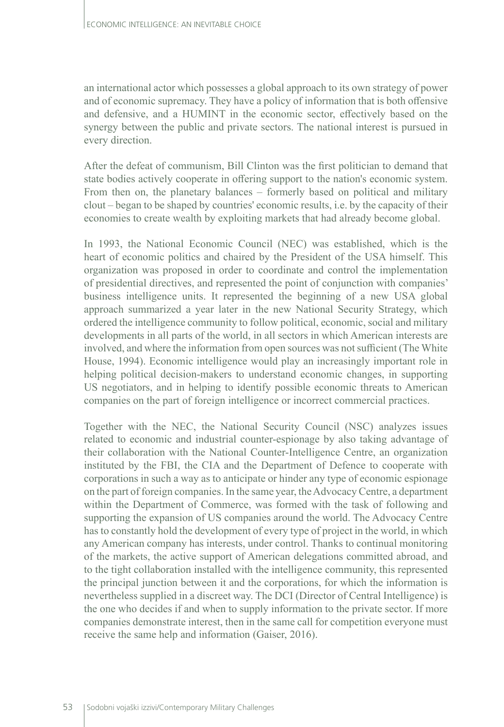an international actor which possesses a global approach to its own strategy of power and of economic supremacy. They have a policy of information that is both offensive and defensive, and a HUMINT in the economic sector, effectively based on the synergy between the public and private sectors. The national interest is pursued in every direction.

After the defeat of communism, Bill Clinton was the first politician to demand that state bodies actively cooperate in offering support to the nation's economic system. From then on, the planetary balances – formerly based on political and military clout – began to be shaped by countries' economic results, i.e. by the capacity of their economies to create wealth by exploiting markets that had already become global.

In 1993, the National Economic Council (NEC) was established, which is the heart of economic politics and chaired by the President of the USA himself. This organization was proposed in order to coordinate and control the implementation of presidential directives, and represented the point of conjunction with companies' business intelligence units. It represented the beginning of a new USA global approach summarized a year later in the new National Security Strategy, which ordered the intelligence community to follow political, economic, social and military developments in all parts of the world, in all sectors in which American interests are involved, and where the information from open sources was not sufficient (The White House, 1994). Economic intelligence would play an increasingly important role in helping political decision-makers to understand economic changes, in supporting US negotiators, and in helping to identify possible economic threats to American companies on the part of foreign intelligence or incorrect commercial practices.

Together with the NEC, the National Security Council (NSC) analyzes issues related to economic and industrial counter-espionage by also taking advantage of their collaboration with the National Counter-Intelligence Centre, an organization instituted by the FBI, the CIA and the Department of Defence to cooperate with corporations in such a way as to anticipate or hinder any type of economic espionage on the part of foreign companies. In the same year, the Advocacy Centre, a department within the Department of Commerce, was formed with the task of following and supporting the expansion of US companies around the world. The Advocacy Centre has to constantly hold the development of every type of project in the world, in which any American company has interests, under control. Thanks to continual monitoring of the markets, the active support of American delegations committed abroad, and to the tight collaboration installed with the intelligence community, this represented the principal junction between it and the corporations, for which the information is nevertheless supplied in a discreet way. The DCI (Director of Central Intelligence) is the one who decides if and when to supply information to the private sector. If more companies demonstrate interest, then in the same call for competition everyone must receive the same help and information (Gaiser, 2016).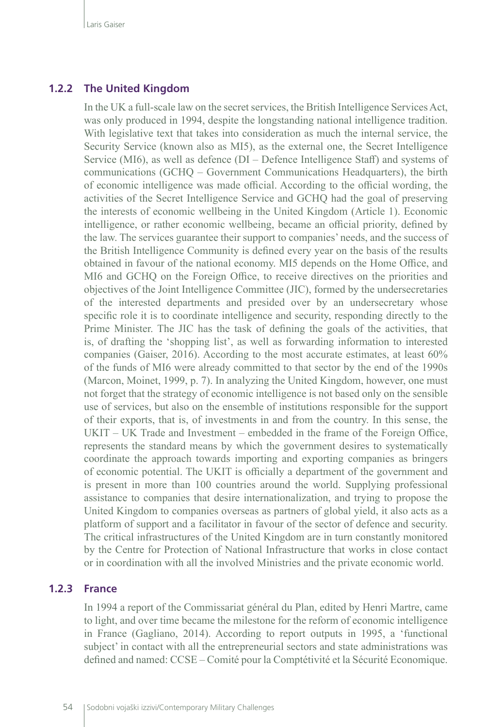#### **1.2.2 The United Kingdom**

In the UK a full-scale law on the secret services, the British Intelligence Services Act, was only produced in 1994, despite the longstanding national intelligence tradition. With legislative text that takes into consideration as much the internal service, the Security Service (known also as MI5), as the external one, the Secret Intelligence Service (MI6), as well as defence (DI – Defence Intelligence Staff) and systems of communications (GCHQ – Government Communications Headquarters), the birth of economic intelligence was made official. According to the official wording, the activities of the Secret Intelligence Service and GCHQ had the goal of preserving the interests of economic wellbeing in the United Kingdom (Article 1). Economic intelligence, or rather economic wellbeing, became an official priority, defined by the law. The services guarantee their support to companies' needs, and the success of the British Intelligence Community is defined every year on the basis of the results obtained in favour of the national economy. MI5 depends on the Home Office, and MI6 and GCHQ on the Foreign Office, to receive directives on the priorities and objectives of the Joint Intelligence Committee (JIC), formed by the undersecretaries of the interested departments and presided over by an undersecretary whose specific role it is to coordinate intelligence and security, responding directly to the Prime Minister. The JIC has the task of defining the goals of the activities, that is, of drafting the 'shopping list', as well as forwarding information to interested companies (Gaiser, 2016). According to the most accurate estimates, at least 60% of the funds of MI6 were already committed to that sector by the end of the 1990s (Marcon, Moinet, 1999, p. 7). In analyzing the United Kingdom, however, one must not forget that the strategy of economic intelligence is not based only on the sensible use of services, but also on the ensemble of institutions responsible for the support of their exports, that is, of investments in and from the country. In this sense, the UKIT – UK Trade and Investment – embedded in the frame of the Foreign Office, represents the standard means by which the government desires to systematically coordinate the approach towards importing and exporting companies as bringers of economic potential. The UKIT is officially a department of the government and is present in more than 100 countries around the world. Supplying professional assistance to companies that desire internationalization, and trying to propose the United Kingdom to companies overseas as partners of global yield, it also acts as a platform of support and a facilitator in favour of the sector of defence and security. The critical infrastructures of the United Kingdom are in turn constantly monitored by the Centre for Protection of National Infrastructure that works in close contact or in coordination with all the involved Ministries and the private economic world.

#### **1.2.3 France**

In 1994 a report of the Commissariat général du Plan, edited by Henri Martre, came to light, and over time became the milestone for the reform of economic intelligence in France (Gagliano, 2014). According to report outputs in 1995, a 'functional subject' in contact with all the entrepreneurial sectors and state administrations was defined and named: CCSE – Comité pour la Comptétivité et la Sécurité Economique.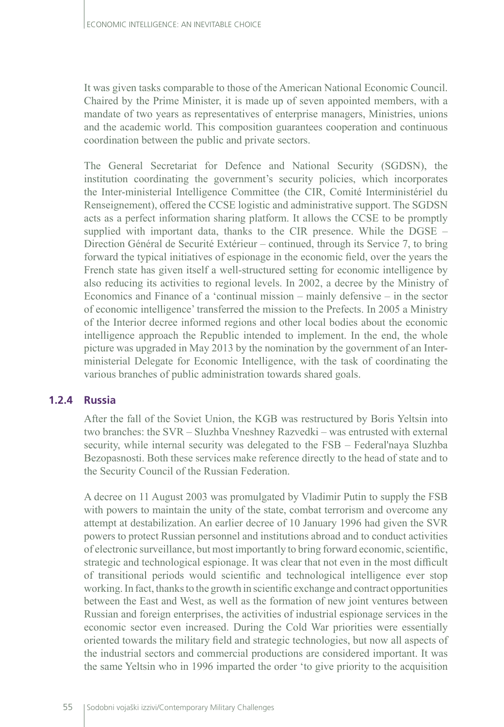It was given tasks comparable to those of the American National Economic Council. Chaired by the Prime Minister, it is made up of seven appointed members, with a mandate of two years as representatives of enterprise managers, Ministries, unions and the academic world. This composition guarantees cooperation and continuous coordination between the public and private sectors.

The General Secretariat for Defence and National Security (SGDSN), the institution coordinating the government's security policies, which incorporates the Inter-ministerial Intelligence Committee (the CIR, Comité Interministériel du Renseignement), offered the CCSE logistic and administrative support. The SGDSN acts as a perfect information sharing platform. It allows the CCSE to be promptly supplied with important data, thanks to the CIR presence. While the DGSE – Direction Général de Securité Extérieur – continued, through its Service 7, to bring forward the typical initiatives of espionage in the economic field, over the years the French state has given itself a well-structured setting for economic intelligence by also reducing its activities to regional levels. In 2002, a decree by the Ministry of Economics and Finance of a 'continual mission – mainly defensive – in the sector of economic intelligence' transferred the mission to the Prefects. In 2005 a Ministry of the Interior decree informed regions and other local bodies about the economic intelligence approach the Republic intended to implement. In the end, the whole picture was upgraded in May 2013 by the nomination by the government of an Interministerial Delegate for Economic Intelligence, with the task of coordinating the various branches of public administration towards shared goals.

#### **1.2.4 Russia**

After the fall of the Soviet Union, the KGB was restructured by Boris Yeltsin into two branches: the SVR – Sluzhba Vneshney Razvedki – was entrusted with external security, while internal security was delegated to the FSB – Federal'naya Sluzhba Bezopasnosti. Both these services make reference directly to the head of state and to the Security Council of the Russian Federation.

A decree on 11 August 2003 was promulgated by Vladimir Putin to supply the FSB with powers to maintain the unity of the state, combat terrorism and overcome any attempt at destabilization. An earlier decree of 10 January 1996 had given the SVR powers to protect Russian personnel and institutions abroad and to conduct activities of electronic surveillance, but most importantly to bring forward economic, scientific, strategic and technological espionage. It was clear that not even in the most difficult of transitional periods would scientific and technological intelligence ever stop working. In fact, thanks to the growth in scientific exchange and contract opportunities between the East and West, as well as the formation of new joint ventures between Russian and foreign enterprises, the activities of industrial espionage services in the economic sector even increased. During the Cold War priorities were essentially oriented towards the military field and strategic technologies, but now all aspects of the industrial sectors and commercial productions are considered important. It was the same Yeltsin who in 1996 imparted the order 'to give priority to the acquisition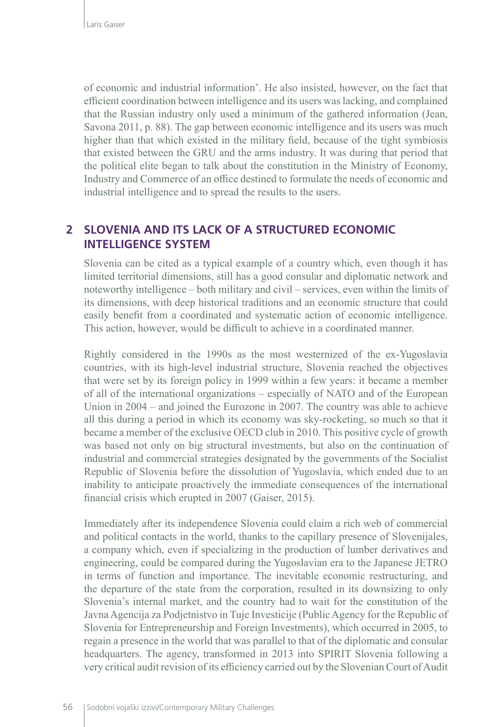of economic and industrial information'. He also insisted, however, on the fact that efficient coordination between intelligence and its users was lacking, and complained that the Russian industry only used a minimum of the gathered information (Jean, Savona 2011, p. 88). The gap between economic intelligence and its users was much higher than that which existed in the military field, because of the tight symbiosis that existed between the GRU and the arms industry. It was during that period that the political elite began to talk about the constitution in the Ministry of Economy, Industry and Commerce of an office destined to formulate the needs of economic and industrial intelligence and to spread the results to the users.

### **2 SLOVENIA AND ITS LACK OF A STRUCTURED ECONOMIC INTELLIGENCE SYSTEM**

Slovenia can be cited as a typical example of a country which, even though it has limited territorial dimensions, still has a good consular and diplomatic network and noteworthy intelligence – both military and civil – services, even within the limits of its dimensions, with deep historical traditions and an economic structure that could easily benefit from a coordinated and systematic action of economic intelligence. This action, however, would be difficult to achieve in a coordinated manner.

Rightly considered in the 1990s as the most westernized of the ex-Yugoslavia countries, with its high-level industrial structure, Slovenia reached the objectives that were set by its foreign policy in 1999 within a few years: it became a member of all of the international organizations – especially of NATO and of the European Union in 2004 – and joined the Eurozone in 2007. The country was able to achieve all this during a period in which its economy was sky-rocketing, so much so that it became a member of the exclusive OECD club in 2010. This positive cycle of growth was based not only on big structural investments, but also on the continuation of industrial and commercial strategies designated by the governments of the Socialist Republic of Slovenia before the dissolution of Yugoslavia, which ended due to an inability to anticipate proactively the immediate consequences of the international financial crisis which erupted in 2007 (Gaiser, 2015).

Immediately after its independence Slovenia could claim a rich web of commercial and political contacts in the world, thanks to the capillary presence of Slovenijales, a company which, even if specializing in the production of lumber derivatives and engineering, could be compared during the Yugoslavian era to the Japanese JETRO in terms of function and importance. The inevitable economic restructuring, and the departure of the state from the corporation, resulted in its downsizing to only Slovenia's internal market, and the country had to wait for the constitution of the Javna Agencija za Podjetnistvo in Tuje Investicije (Public Agency for the Republic of Slovenia for Entrepreneurship and Foreign Investments), which occurred in 2005, to regain a presence in the world that was parallel to that of the diplomatic and consular headquarters. The agency, transformed in 2013 into SPIRIT Slovenia following a very critical audit revision of its efficiency carried out by the Slovenian Court of Audit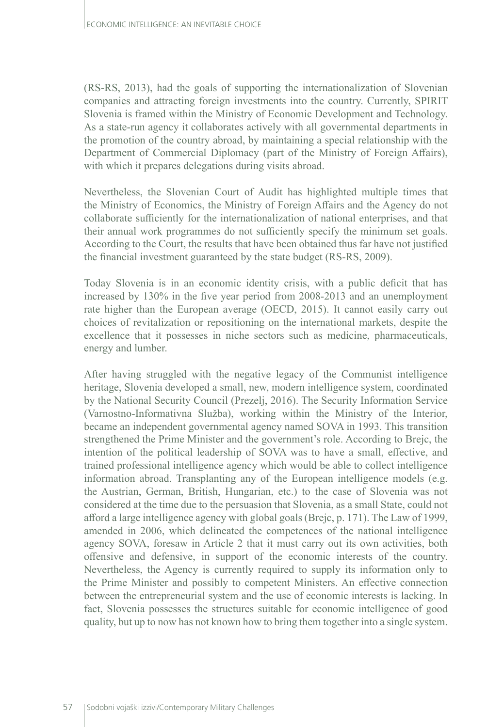(RS-RS, 2013), had the goals of supporting the internationalization of Slovenian companies and attracting foreign investments into the country. Currently, SPIRIT Slovenia is framed within the Ministry of Economic Development and Technology. As a state-run agency it collaborates actively with all governmental departments in the promotion of the country abroad, by maintaining a special relationship with the Department of Commercial Diplomacy (part of the Ministry of Foreign Affairs), with which it prepares delegations during visits abroad.

Nevertheless, the Slovenian Court of Audit has highlighted multiple times that the Ministry of Economics, the Ministry of Foreign Affairs and the Agency do not collaborate sufficiently for the internationalization of national enterprises, and that their annual work programmes do not sufficiently specify the minimum set goals. According to the Court, the results that have been obtained thus far have not justified the financial investment guaranteed by the state budget (RS-RS, 2009).

Today Slovenia is in an economic identity crisis, with a public deficit that has increased by 130% in the five year period from 2008-2013 and an unemployment rate higher than the European average (OECD, 2015). It cannot easily carry out choices of revitalization or repositioning on the international markets, despite the excellence that it possesses in niche sectors such as medicine, pharmaceuticals, energy and lumber.

After having struggled with the negative legacy of the Communist intelligence heritage, Slovenia developed a small, new, modern intelligence system, coordinated by the National Security Council (Prezelj, 2016). The Security Information Service (Varnostno-Informativna Služba), working within the Ministry of the Interior, became an independent governmental agency named SOVA in 1993. This transition strengthened the Prime Minister and the government's role. According to Brejc, the intention of the political leadership of SOVA was to have a small, effective, and trained professional intelligence agency which would be able to collect intelligence information abroad. Transplanting any of the European intelligence models (e.g. the Austrian, German, British, Hungarian, etc.) to the case of Slovenia was not considered at the time due to the persuasion that Slovenia, as a small State, could not afford a large intelligence agency with global goals (Brejc, p. 171). The Law of 1999, amended in 2006, which delineated the competences of the national intelligence agency SOVA, foresaw in Article 2 that it must carry out its own activities, both offensive and defensive, in support of the economic interests of the country. Nevertheless, the Agency is currently required to supply its information only to the Prime Minister and possibly to competent Ministers. An effective connection between the entrepreneurial system and the use of economic interests is lacking. In fact, Slovenia possesses the structures suitable for economic intelligence of good quality, but up to now has not known how to bring them together into a single system.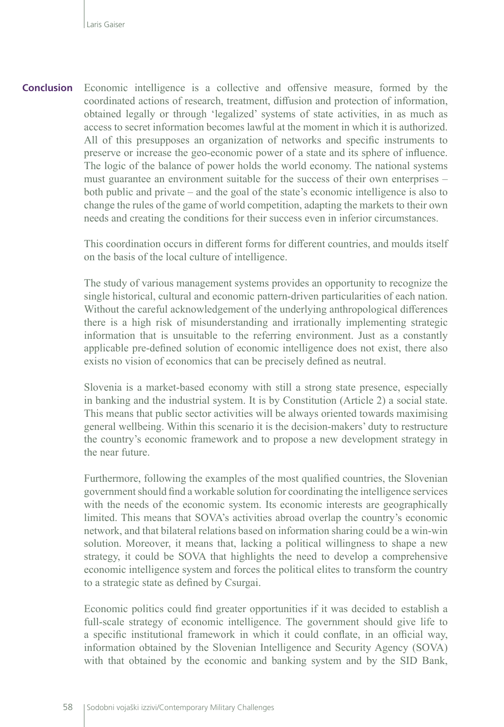Economic intelligence is a collective and offensive measure, formed by the coordinated actions of research, treatment, diffusion and protection of information, obtained legally or through 'legalized' systems of state activities, in as much as access to secret information becomes lawful at the moment in which it is authorized. All of this presupposes an organization of networks and specific instruments to preserve or increase the geo-economic power of a state and its sphere of influence. The logic of the balance of power holds the world economy. The national systems must guarantee an environment suitable for the success of their own enterprises – both public and private – and the goal of the state's economic intelligence is also to change the rules of the game of world competition, adapting the markets to their own needs and creating the conditions for their success even in inferior circumstances. **Conclusion**

> This coordination occurs in different forms for different countries, and moulds itself on the basis of the local culture of intelligence.

> The study of various management systems provides an opportunity to recognize the single historical, cultural and economic pattern-driven particularities of each nation. Without the careful acknowledgement of the underlying anthropological differences there is a high risk of misunderstanding and irrationally implementing strategic information that is unsuitable to the referring environment. Just as a constantly applicable pre-defined solution of economic intelligence does not exist, there also exists no vision of economics that can be precisely defined as neutral.

> Slovenia is a market-based economy with still a strong state presence, especially in banking and the industrial system. It is by Constitution (Article 2) a social state. This means that public sector activities will be always oriented towards maximising general wellbeing. Within this scenario it is the decision-makers' duty to restructure the country's economic framework and to propose a new development strategy in the near future.

> Furthermore, following the examples of the most qualified countries, the Slovenian government should find a workable solution for coordinating the intelligence services with the needs of the economic system. Its economic interests are geographically limited. This means that SOVA's activities abroad overlap the country's economic network, and that bilateral relations based on information sharing could be a win-win solution. Moreover, it means that, lacking a political willingness to shape a new strategy, it could be SOVA that highlights the need to develop a comprehensive economic intelligence system and forces the political elites to transform the country to a strategic state as defined by Csurgai.

> Economic politics could find greater opportunities if it was decided to establish a full-scale strategy of economic intelligence. The government should give life to a specific institutional framework in which it could conflate, in an official way, information obtained by the Slovenian Intelligence and Security Agency (SOVA) with that obtained by the economic and banking system and by the SID Bank,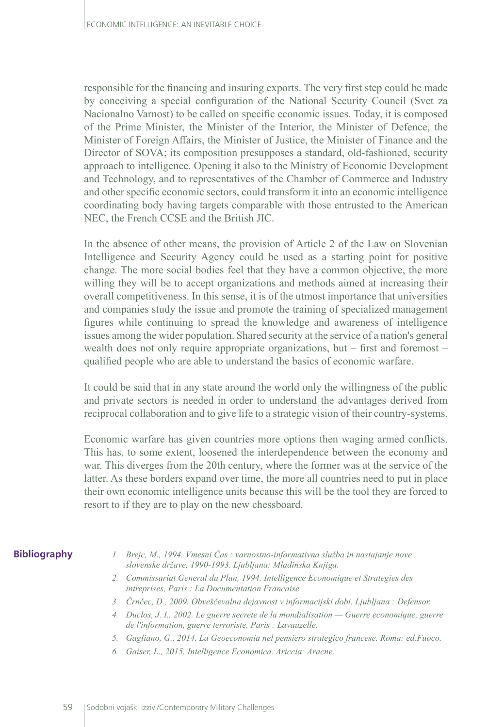responsible for the financing and insuring exports. The very first step could be made by conceiving a special configuration of the National Security Council (Svet za Nacionalno Varnost) to be called on specific economic issues. Today, it is composed of the Prime Minister, the Minister of the Interior, the Minister of Defence, the Minister of Foreign Affairs, the Minister of Justice, the Minister of Finance and the Director of SOVA; its composition presupposes a standard, old-fashioned, security approach to intelligence. Opening it also to the Ministry of Economic Development and Technology, and to representatives of the Chamber of Commerce and Industry and other specific economic sectors, could transform it into an economic intelligence coordinating body having targets comparable with those entrusted to the American NEC, the French CCSE and the British JIC.

In the absence of other means, the provision of Article 2 of the Law on Slovenian Intelligence and Security Agency could be used as a starting point for positive change. The more social bodies feel that they have a common objective, the more willing they will be to accept organizations and methods aimed at increasing their overall competitiveness. In this sense, it is of the utmost importance that universities and companies study the issue and promote the training of specialized management figures while continuing to spread the knowledge and awareness of intelligence issues among the wider population. Shared security at the service of a nation's general wealth does not only require appropriate organizations, but – first and foremost – qualified people who are able to understand the basics of economic warfare.

It could be said that in any state around the world only the willingness of the public and private sectors is needed in order to understand the advantages derived from reciprocal collaboration and to give life to a strategic vision of their country-systems.

Economic warfare has given countries more options then waging armed conflicts. This has, to some extent, loosened the interdependence between the economy and war. This diverges from the 20th century, where the former was at the service of the latter. As these borders expand over time, the more all countries need to put in place their own economic intelligence units because this will be the tool they are forced to resort to if they are to play on the new chessboard.

#### **Bibliography**

- *1. Brejc, M., 1994. Vmesni Čas : varnostno-informativna služba in nastajanje nove slovenske države, 1990-1993. Ljubljana: Mladinska Knjiga.*
- *2. Commissariat General du Plan, 1994. Intelligence Economique et Strategies des intreprises, Paris : La Documentation Francaise.*
- *3. Črnčec, D., 2009. Obveščevalna dejavnost v informacijski dobi. Ljubljana : Defensor.*
- *4. Duclos, J. I., 2002. Le guerre secrete de la mondialisation Guerre economique, guerre de l'information, guerre terroriste. Paris : Lavauzelle.*
- *5. Gagliano, G., 2014. La Geoeconomia nel pensiero strategico francese. Roma: ed.Fuoco.*
- *6. Gaiser, L., 2015. Intelligence Economica. Ariccia: Aracne.*